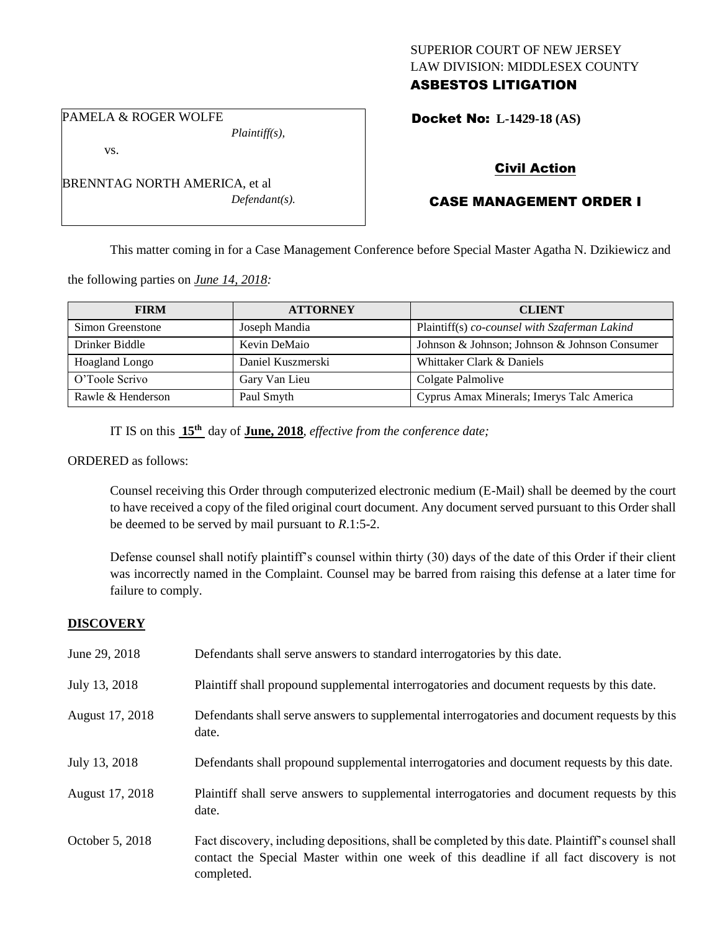## SUPERIOR COURT OF NEW JERSEY LAW DIVISION: MIDDLESEX COUNTY ASBESTOS LITIGATION

PAMELA & ROGER WOLFE *Plaintiff(s),*

vs.

BRENNTAG NORTH AMERICA, et al *Defendant(s).*

## Docket No: **L-1429-18 (AS)**

# Civil Action

# CASE MANAGEMENT ORDER I

This matter coming in for a Case Management Conference before Special Master Agatha N. Dzikiewicz and

the following parties on *June 14, 2018:*

| <b>FIRM</b>           | <b>ATTORNEY</b>   | <b>CLIENT</b>                                 |
|-----------------------|-------------------|-----------------------------------------------|
| Simon Greenstone      | Joseph Mandia     | Plaintiff(s) co-counsel with Szaferman Lakind |
| Drinker Biddle        | Kevin DeMaio      | Johnson & Johnson; Johnson & Johnson Consumer |
| <b>Hoagland Longo</b> | Daniel Kuszmerski | Whittaker Clark & Daniels                     |
| O'Toole Scrivo        | Gary Van Lieu     | Colgate Palmolive                             |
| Rawle & Henderson     | Paul Smyth        | Cyprus Amax Minerals; Imerys Talc America     |

IT IS on this **15th** day of **June, 2018**, *effective from the conference date;*

ORDERED as follows:

Counsel receiving this Order through computerized electronic medium (E-Mail) shall be deemed by the court to have received a copy of the filed original court document. Any document served pursuant to this Order shall be deemed to be served by mail pursuant to *R*.1:5-2.

Defense counsel shall notify plaintiff's counsel within thirty (30) days of the date of this Order if their client was incorrectly named in the Complaint. Counsel may be barred from raising this defense at a later time for failure to comply.

## **DISCOVERY**

| June 29, 2018   | Defendants shall serve answers to standard interrogatories by this date.                                                                                                                                    |
|-----------------|-------------------------------------------------------------------------------------------------------------------------------------------------------------------------------------------------------------|
| July 13, 2018   | Plaintiff shall propound supplemental interrogatories and document requests by this date.                                                                                                                   |
| August 17, 2018 | Defendants shall serve answers to supplemental interrogatories and document requests by this<br>date.                                                                                                       |
| July 13, 2018   | Defendants shall propound supplemental interrogatories and document requests by this date.                                                                                                                  |
| August 17, 2018 | Plaintiff shall serve answers to supplemental interrogatories and document requests by this<br>date.                                                                                                        |
| October 5, 2018 | Fact discovery, including depositions, shall be completed by this date. Plaintiff's counsel shall<br>contact the Special Master within one week of this deadline if all fact discovery is not<br>completed. |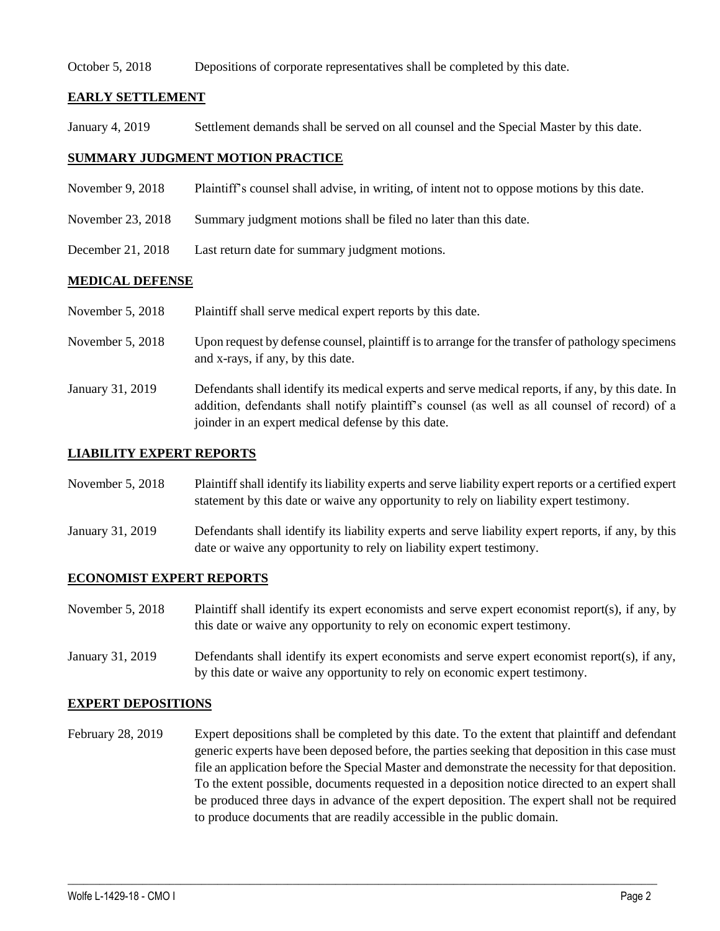#### October 5, 2018 Depositions of corporate representatives shall be completed by this date.

### **EARLY SETTLEMENT**

January 4, 2019 Settlement demands shall be served on all counsel and the Special Master by this date.

## **SUMMARY JUDGMENT MOTION PRACTICE**

- November 9, 2018 Plaintiff's counsel shall advise, in writing, of intent not to oppose motions by this date.
- November 23, 2018 Summary judgment motions shall be filed no later than this date.
- December 21, 2018 Last return date for summary judgment motions.

## **MEDICAL DEFENSE**

- November 5, 2018 Plaintiff shall serve medical expert reports by this date.
- November 5, 2018 Upon request by defense counsel, plaintiff is to arrange for the transfer of pathology specimens and x-rays, if any, by this date.
- January 31, 2019 Defendants shall identify its medical experts and serve medical reports, if any, by this date. In addition, defendants shall notify plaintiff's counsel (as well as all counsel of record) of a joinder in an expert medical defense by this date.

#### **LIABILITY EXPERT REPORTS**

- November 5, 2018 Plaintiff shall identify its liability experts and serve liability expert reports or a certified expert statement by this date or waive any opportunity to rely on liability expert testimony.
- January 31, 2019 Defendants shall identify its liability experts and serve liability expert reports, if any, by this date or waive any opportunity to rely on liability expert testimony.

#### **ECONOMIST EXPERT REPORTS**

- November 5, 2018 Plaintiff shall identify its expert economists and serve expert economist report(s), if any, by this date or waive any opportunity to rely on economic expert testimony.
- January 31, 2019 Defendants shall identify its expert economists and serve expert economist report(s), if any, by this date or waive any opportunity to rely on economic expert testimony.

#### **EXPERT DEPOSITIONS**

February 28, 2019 Expert depositions shall be completed by this date. To the extent that plaintiff and defendant generic experts have been deposed before, the parties seeking that deposition in this case must file an application before the Special Master and demonstrate the necessity for that deposition. To the extent possible, documents requested in a deposition notice directed to an expert shall be produced three days in advance of the expert deposition. The expert shall not be required to produce documents that are readily accessible in the public domain.

 $\_$  ,  $\_$  ,  $\_$  ,  $\_$  ,  $\_$  ,  $\_$  ,  $\_$  ,  $\_$  ,  $\_$  ,  $\_$  ,  $\_$  ,  $\_$  ,  $\_$  ,  $\_$  ,  $\_$  ,  $\_$  ,  $\_$  ,  $\_$  ,  $\_$  ,  $\_$  ,  $\_$  ,  $\_$  ,  $\_$  ,  $\_$  ,  $\_$  ,  $\_$  ,  $\_$  ,  $\_$  ,  $\_$  ,  $\_$  ,  $\_$  ,  $\_$  ,  $\_$  ,  $\_$  ,  $\_$  ,  $\_$  ,  $\_$  ,